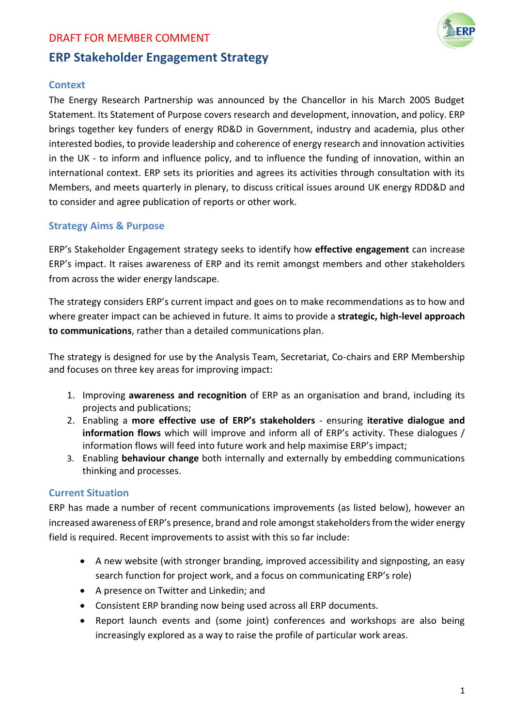

# **ERP Stakeholder Engagement Strategy**

# **Context**

The Energy Research Partnership was announced by the Chancellor in his March 2005 Budget Statement. Its Statement of Purpose covers research and development, innovation, and policy. ERP brings together key funders of energy RD&D in Government, industry and academia, plus other interested bodies, to provide leadership and coherence of energy research and innovation activities in the UK - to inform and influence policy, and to influence the funding of innovation, within an international context. ERP sets its priorities and agrees its activities through consultation with its Members, and meets quarterly in plenary, to discuss critical issues around UK energy RDD&D and to consider and agree publication of reports or other work.

## **Strategy Aims & Purpose**

ERP's Stakeholder Engagement strategy seeks to identify how **effective engagement** can increase ERP's impact. It raises awareness of ERP and its remit amongst members and other stakeholders from across the wider energy landscape.

The strategy considers ERP's current impact and goes on to make recommendations as to how and where greater impact can be achieved in future. It aims to provide a **strategic, high-level approach to communications**, rather than a detailed communications plan.

The strategy is designed for use by the Analysis Team, Secretariat, Co-chairs and ERP Membership and focuses on three key areas for improving impact:

- 1. Improving **awareness and recognition** of ERP as an organisation and brand, including its projects and publications;
- 2. Enabling a **more effective use of ERP's stakeholders** ensuring **iterative dialogue and information flows** which will improve and inform all of ERP's activity. These dialogues / information flows will feed into future work and help maximise ERP's impact;
- 3. Enabling **behaviour change** both internally and externally by embedding communications thinking and processes.

## **Current Situation**

ERP has made a number of recent communications improvements (as listed below), however an increased awareness of ERP's presence, brand and role amongst stakeholdersfrom the wider energy field is required. Recent improvements to assist with this so far include:

- A new website (with stronger branding, improved accessibility and signposting, an easy search function for project work, and a focus on communicating ERP's role)
- A presence on Twitter and Linkedin; and
- Consistent ERP branding now being used across all ERP documents.
- Report launch events and (some joint) conferences and workshops are also being increasingly explored as a way to raise the profile of particular work areas.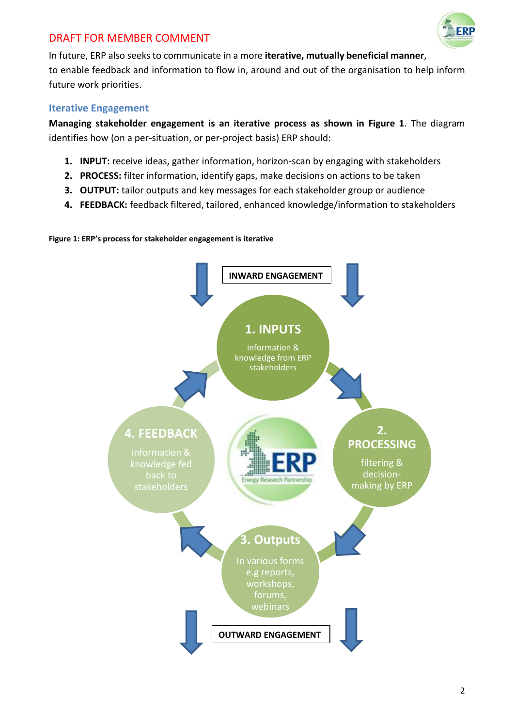

In future, ERP also seeks to communicate in a more **iterative, mutually beneficial manner**, to enable feedback and information to flow in, around and out of the organisation to help inform future work priorities.

# **Iterative Engagement**

**Managing stakeholder engagement is an iterative process as shown in Figure 1**. The diagram identifies how (on a per-situation, or per-project basis) ERP should:

- **1. INPUT:** receive ideas, gather information, horizon-scan by engaging with stakeholders
- **2. PROCESS:** filter information, identify gaps, make decisions on actions to be taken
- **3. OUTPUT:** tailor outputs and key messages for each stakeholder group or audience
- **4. FEEDBACK:** feedback filtered, tailored, enhanced knowledge/information to stakeholders



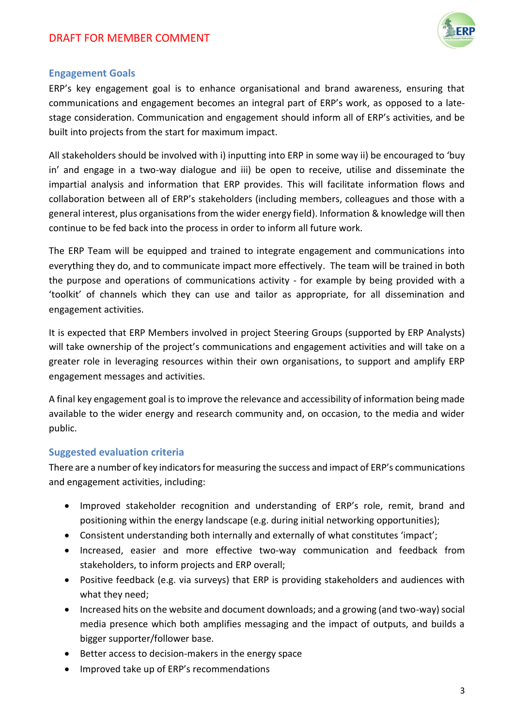

## **Engagement Goals**

ERP's key engagement goal is to enhance organisational and brand awareness, ensuring that communications and engagement becomes an integral part of ERP's work, as opposed to a latestage consideration. Communication and engagement should inform all of ERP's activities, and be built into projects from the start for maximum impact.

All stakeholders should be involved with i) inputting into ERP in some way ii) be encouraged to 'buy in' and engage in a two-way dialogue and iii) be open to receive, utilise and disseminate the impartial analysis and information that ERP provides. This will facilitate information flows and collaboration between all of ERP's stakeholders (including members, colleagues and those with a general interest, plus organisations from the wider energy field). Information & knowledge will then continue to be fed back into the process in order to inform all future work.

The ERP Team will be equipped and trained to integrate engagement and communications into everything they do, and to communicate impact more effectively. The team will be trained in both the purpose and operations of communications activity - for example by being provided with a 'toolkit' of channels which they can use and tailor as appropriate, for all dissemination and engagement activities.

It is expected that ERP Members involved in project Steering Groups (supported by ERP Analysts) will take ownership of the project's communications and engagement activities and will take on a greater role in leveraging resources within their own organisations, to support and amplify ERP engagement messages and activities.

A final key engagement goal is to improve the relevance and accessibility of information being made available to the wider energy and research community and, on occasion, to the media and wider public.

## **Suggested evaluation criteria**

There are a number of key indicators for measuring the success and impact of ERP's communications and engagement activities, including:

- Improved stakeholder recognition and understanding of ERP's role, remit, brand and positioning within the energy landscape (e.g. during initial networking opportunities);
- Consistent understanding both internally and externally of what constitutes 'impact';
- Increased, easier and more effective two-way communication and feedback from stakeholders, to inform projects and ERP overall;
- Positive feedback (e.g. via surveys) that ERP is providing stakeholders and audiences with what they need;
- Increased hits on the website and document downloads; and a growing (and two-way) social media presence which both amplifies messaging and the impact of outputs, and builds a bigger supporter/follower base.
- Better access to decision-makers in the energy space
- Improved take up of ERP's recommendations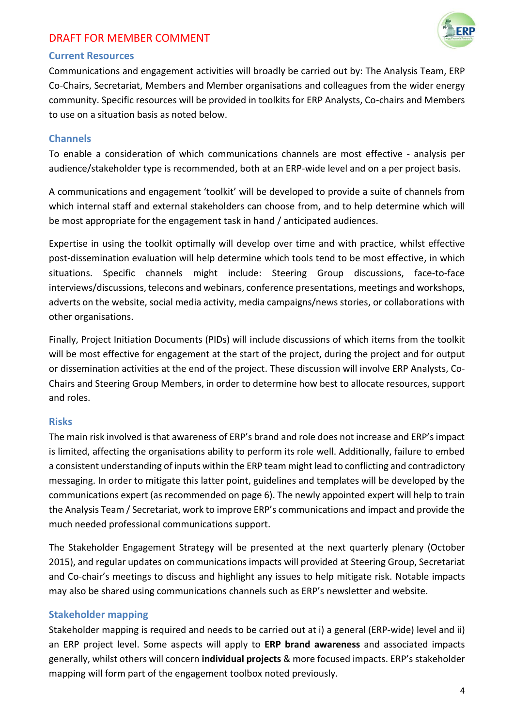

## **Current Resources**

Communications and engagement activities will broadly be carried out by: The Analysis Team, ERP Co-Chairs, Secretariat, Members and Member organisations and colleagues from the wider energy community. Specific resources will be provided in toolkits for ERP Analysts, Co-chairs and Members to use on a situation basis as noted below.

#### **Channels**

To enable a consideration of which communications channels are most effective - analysis per audience/stakeholder type is recommended, both at an ERP-wide level and on a per project basis.

A communications and engagement 'toolkit' will be developed to provide a suite of channels from which internal staff and external stakeholders can choose from, and to help determine which will be most appropriate for the engagement task in hand / anticipated audiences.

Expertise in using the toolkit optimally will develop over time and with practice, whilst effective post-dissemination evaluation will help determine which tools tend to be most effective, in which situations. Specific channels might include: Steering Group discussions, face-to-face interviews/discussions, telecons and webinars, conference presentations, meetings and workshops, adverts on the website, social media activity, media campaigns/news stories, or collaborations with other organisations.

Finally, Project Initiation Documents (PIDs) will include discussions of which items from the toolkit will be most effective for engagement at the start of the project, during the project and for output or dissemination activities at the end of the project. These discussion will involve ERP Analysts, Co-Chairs and Steering Group Members, in order to determine how best to allocate resources, support and roles.

#### **Risks**

The main risk involved is that awareness of ERP's brand and role does not increase and ERP's impact is limited, affecting the organisations ability to perform its role well. Additionally, failure to embed a consistent understanding of inputs within the ERP team might lead to conflicting and contradictory messaging. In order to mitigate this latter point, guidelines and templates will be developed by the communications expert (as recommended on page 6). The newly appointed expert will help to train the Analysis Team / Secretariat, work to improve ERP's communications and impact and provide the much needed professional communications support.

The Stakeholder Engagement Strategy will be presented at the next quarterly plenary (October 2015), and regular updates on communications impacts will provided at Steering Group, Secretariat and Co-chair's meetings to discuss and highlight any issues to help mitigate risk. Notable impacts may also be shared using communications channels such as ERP's newsletter and website.

## **Stakeholder mapping**

Stakeholder mapping is required and needs to be carried out at i) a general (ERP-wide) level and ii) an ERP project level. Some aspects will apply to **ERP brand awareness** and associated impacts generally, whilst others will concern **individual projects** & more focused impacts. ERP's stakeholder mapping will form part of the engagement toolbox noted previously.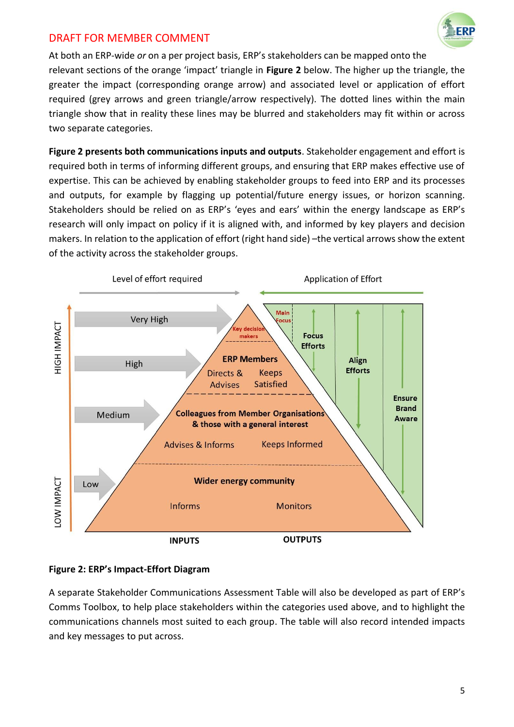

At both an ERP-wide *or* on a per project basis, ERP's stakeholders can be mapped onto the relevant sections of the orange 'impact' triangle in **Figure 2** below. The higher up the triangle, the greater the impact (corresponding orange arrow) and associated level or application of effort required (grey arrows and green triangle/arrow respectively). The dotted lines within the main triangle show that in reality these lines may be blurred and stakeholders may fit within or across two separate categories.

**Figure 2 presents both communications inputs and outputs**. Stakeholder engagement and effort is required both in terms of informing different groups, and ensuring that ERP makes effective use of expertise. This can be achieved by enabling stakeholder groups to feed into ERP and its processes and outputs, for example by flagging up potential/future energy issues, or horizon scanning. Stakeholders should be relied on as ERP's 'eyes and ears' within the energy landscape as ERP's research will only impact on policy if it is aligned with, and informed by key players and decision makers. In relation to the application of effort (right hand side) –the vertical arrows show the extent of the activity across the stakeholder groups.



## **Figure 2: ERP's Impact-Effort Diagram**

A separate Stakeholder Communications Assessment Table will also be developed as part of ERP's Comms Toolbox, to help place stakeholders within the categories used above, and to highlight the communications channels most suited to each group. The table will also record intended impacts and key messages to put across.